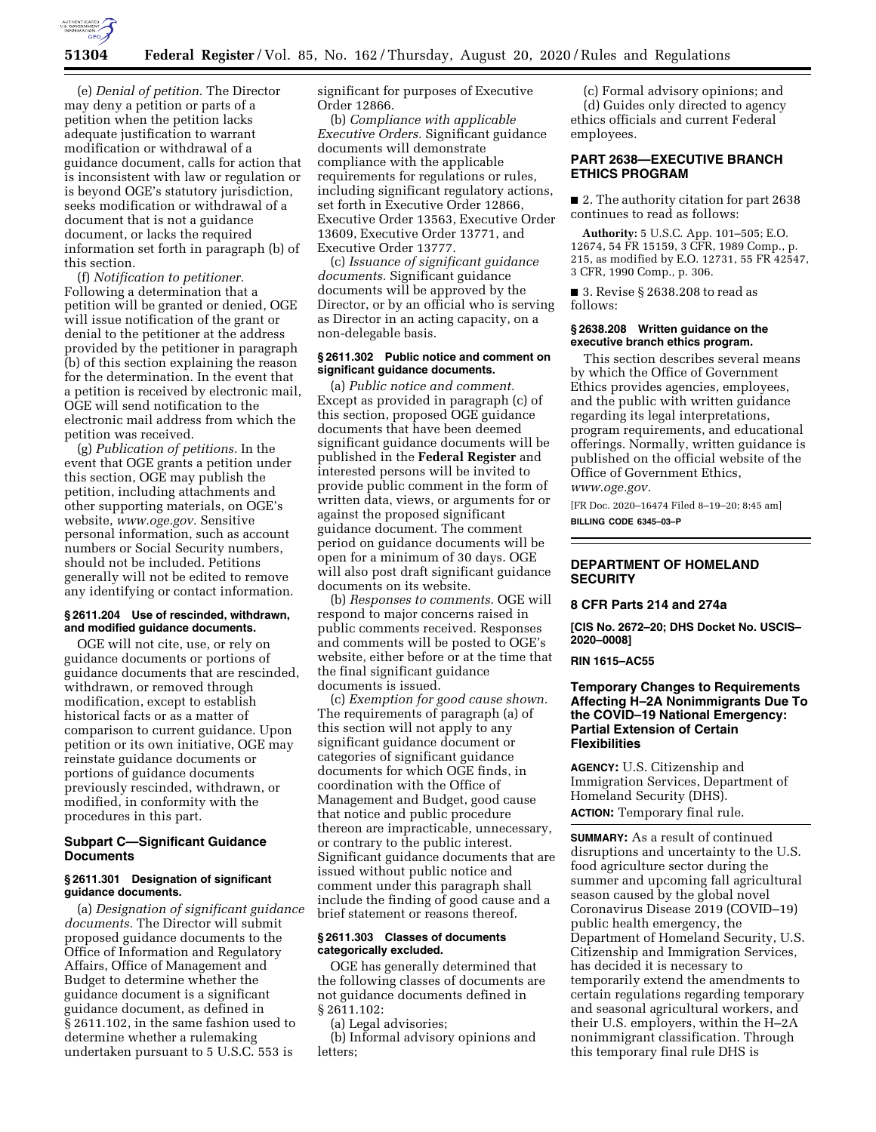

(e) *Denial of petition.* The Director may deny a petition or parts of a petition when the petition lacks adequate justification to warrant modification or withdrawal of a guidance document, calls for action that is inconsistent with law or regulation or is beyond OGE's statutory jurisdiction, seeks modification or withdrawal of a document that is not a guidance document, or lacks the required information set forth in paragraph (b) of this section.

(f) *Notification to petitioner.*  Following a determination that a petition will be granted or denied, OGE will issue notification of the grant or denial to the petitioner at the address provided by the petitioner in paragraph (b) of this section explaining the reason for the determination. In the event that a petition is received by electronic mail, OGE will send notification to the electronic mail address from which the petition was received.

(g) *Publication of petitions.* In the event that OGE grants a petition under this section, OGE may publish the petition, including attachments and other supporting materials, on OGE's website, *[www.oge.gov.](http://www.oge.gov)* Sensitive personal information, such as account numbers or Social Security numbers, should not be included. Petitions generally will not be edited to remove any identifying or contact information.

#### **§ 2611.204 Use of rescinded, withdrawn, and modified guidance documents.**

OGE will not cite, use, or rely on guidance documents or portions of guidance documents that are rescinded, withdrawn, or removed through modification, except to establish historical facts or as a matter of comparison to current guidance. Upon petition or its own initiative, OGE may reinstate guidance documents or portions of guidance documents previously rescinded, withdrawn, or modified, in conformity with the procedures in this part.

# **Subpart C—Significant Guidance Documents**

## **§ 2611.301 Designation of significant guidance documents.**

(a) *Designation of significant guidance documents.* The Director will submit proposed guidance documents to the Office of Information and Regulatory Affairs, Office of Management and Budget to determine whether the guidance document is a significant guidance document, as defined in § 2611.102, in the same fashion used to determine whether a rulemaking undertaken pursuant to 5 U.S.C. 553 is

significant for purposes of Executive Order 12866.

(b) *Compliance with applicable Executive Orders.* Significant guidance documents will demonstrate compliance with the applicable requirements for regulations or rules, including significant regulatory actions, set forth in Executive Order 12866, Executive Order 13563, Executive Order 13609, Executive Order 13771, and Executive Order 13777.

(c) *Issuance of significant guidance documents.* Significant guidance documents will be approved by the Director, or by an official who is serving as Director in an acting capacity, on a non-delegable basis.

#### **§ 2611.302 Public notice and comment on significant guidance documents.**

(a) *Public notice and comment.*  Except as provided in paragraph (c) of this section, proposed OGE guidance documents that have been deemed significant guidance documents will be published in the **Federal Register** and interested persons will be invited to provide public comment in the form of written data, views, or arguments for or against the proposed significant guidance document. The comment period on guidance documents will be open for a minimum of 30 days. OGE will also post draft significant guidance documents on its website.

(b) *Responses to comments.* OGE will respond to major concerns raised in public comments received. Responses and comments will be posted to OGE's website, either before or at the time that the final significant guidance documents is issued.

(c) *Exemption for good cause shown.*  The requirements of paragraph (a) of this section will not apply to any significant guidance document or categories of significant guidance documents for which OGE finds, in coordination with the Office of Management and Budget, good cause that notice and public procedure thereon are impracticable, unnecessary, or contrary to the public interest. Significant guidance documents that are issued without public notice and comment under this paragraph shall include the finding of good cause and a brief statement or reasons thereof.

#### **§ 2611.303 Classes of documents categorically excluded.**

OGE has generally determined that the following classes of documents are not guidance documents defined in § 2611.102:

(a) Legal advisories;

(b) Informal advisory opinions and letters;

(c) Formal advisory opinions; and (d) Guides only directed to agency ethics officials and current Federal employees.

# **PART 2638—EXECUTIVE BRANCH ETHICS PROGRAM**

■ 2. The authority citation for part 2638 continues to read as follows:

**Authority:** 5 U.S.C. App. 101–505; E.O. 12674, 54 FR 15159, 3 CFR, 1989 Comp., p. 215, as modified by E.O. 12731, 55 FR 42547, 3 CFR, 1990 Comp., p. 306.

■ 3. Revise § 2638.208 to read as follows:

#### **§ 2638.208 Written guidance on the executive branch ethics program.**

This section describes several means by which the Office of Government Ethics provides agencies, employees, and the public with written guidance regarding its legal interpretations, program requirements, and educational offerings. Normally, written guidance is published on the official website of the Office of Government Ethics, *[www.oge.gov.](http://www.oge.gov)* 

[FR Doc. 2020–16474 Filed 8–19–20; 8:45 am] **BILLING CODE 6345–03–P** 

## **DEPARTMENT OF HOMELAND SECURITY**

#### **8 CFR Parts 214 and 274a**

**[CIS No. 2672–20; DHS Docket No. USCIS– 2020–0008]** 

## **RIN 1615–AC55**

## **Temporary Changes to Requirements Affecting H–2A Nonimmigrants Due To the COVID–19 National Emergency: Partial Extension of Certain Flexibilities**

**AGENCY:** U.S. Citizenship and Immigration Services, Department of Homeland Security (DHS).

**ACTION:** Temporary final rule.

**SUMMARY:** As a result of continued disruptions and uncertainty to the U.S. food agriculture sector during the summer and upcoming fall agricultural season caused by the global novel Coronavirus Disease 2019 (COVID–19) public health emergency, the Department of Homeland Security, U.S. Citizenship and Immigration Services, has decided it is necessary to temporarily extend the amendments to certain regulations regarding temporary and seasonal agricultural workers, and their U.S. employers, within the H–2A nonimmigrant classification. Through this temporary final rule DHS is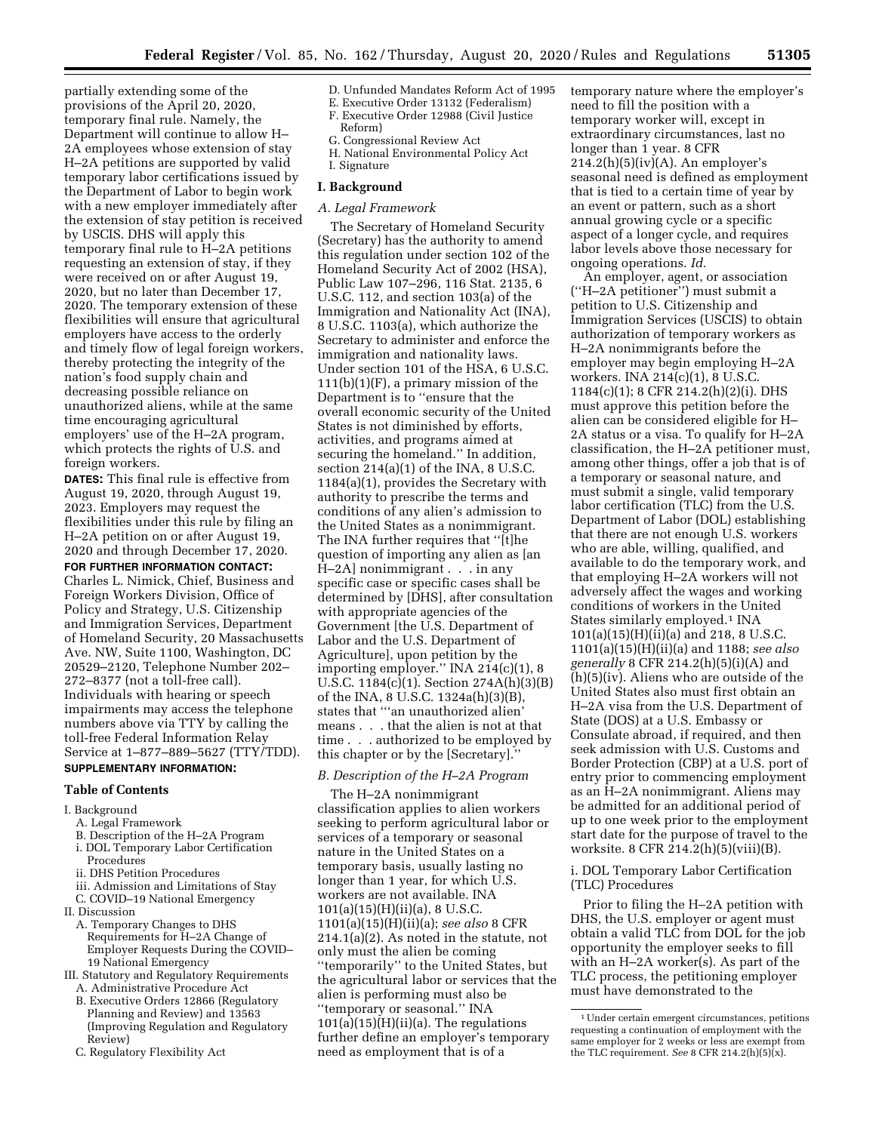partially extending some of the provisions of the April 20, 2020, temporary final rule. Namely, the Department will continue to allow H– 2A employees whose extension of stay H–2A petitions are supported by valid temporary labor certifications issued by the Department of Labor to begin work with a new employer immediately after the extension of stay petition is received by USCIS. DHS will apply this temporary final rule to H–2A petitions requesting an extension of stay, if they were received on or after August 19, 2020, but no later than December 17, 2020. The temporary extension of these flexibilities will ensure that agricultural employers have access to the orderly and timely flow of legal foreign workers, thereby protecting the integrity of the nation's food supply chain and decreasing possible reliance on unauthorized aliens, while at the same time encouraging agricultural employers' use of the H–2A program, which protects the rights of U.S. and foreign workers.

**DATES:** This final rule is effective from August 19, 2020, through August 19, 2023. Employers may request the flexibilities under this rule by filing an H–2A petition on or after August 19, 2020 and through December 17, 2020. **FOR FURTHER INFORMATION CONTACT:**  Charles L. Nimick, Chief, Business and Foreign Workers Division, Office of Policy and Strategy, U.S. Citizenship and Immigration Services, Department of Homeland Security, 20 Massachusetts Ave. NW, Suite 1100, Washington, DC 20529–2120, Telephone Number 202– 272–8377 (not a toll-free call). Individuals with hearing or speech impairments may access the telephone numbers above via TTY by calling the toll-free Federal Information Relay Service at 1–877–889–5627 (TTY/TDD). **SUPPLEMENTARY INFORMATION:** 

# **Table of Contents**

# I. Background

- A. Legal Framework
- B. Description of the H–2A Program
- i. DOL Temporary Labor Certification
- Procedures
- ii. DHS Petition Procedures
- iii. Admission and Limitations of Stay C. COVID–19 National Emergency
- II. Discussion
	- A. Temporary Changes to DHS Requirements for H–2A Change of Employer Requests During the COVID– 19 National Emergency
- III. Statutory and Regulatory Requirements A. Administrative Procedure Act
	- B. Executive Orders 12866 (Regulatory Planning and Review) and 13563 (Improving Regulation and Regulatory Review)
	- C. Regulatory Flexibility Act
- D. Unfunded Mandates Reform Act of 1995 E. Executive Order 13132 (Federalism)
- F. Executive Order 12988 (Civil Justice
	- Reform)
- G. Congressional Review Act
- H. National Environmental Policy Act
- I. Signature

## **I. Background**

#### *A. Legal Framework*

The Secretary of Homeland Security (Secretary) has the authority to amend this regulation under section 102 of the Homeland Security Act of 2002 (HSA), Public Law 107–296, 116 Stat. 2135, 6 U.S.C. 112, and section 103(a) of the Immigration and Nationality Act (INA), 8 U.S.C. 1103(a), which authorize the Secretary to administer and enforce the immigration and nationality laws. Under section 101 of the HSA, 6 U.S.C.  $111(b)(1)(F)$ , a primary mission of the Department is to ''ensure that the overall economic security of the United States is not diminished by efforts, activities, and programs aimed at securing the homeland.'' In addition, section 214(a)(1) of the INA, 8 U.S.C. 1184(a)(1), provides the Secretary with authority to prescribe the terms and conditions of any alien's admission to the United States as a nonimmigrant. The INA further requires that ''[t]he question of importing any alien as [an  $H$ –2A] nonimmigrant  $\ldots$  in any specific case or specific cases shall be determined by [DHS], after consultation with appropriate agencies of the Government [the U.S. Department of Labor and the U.S. Department of Agriculture], upon petition by the importing employer.'' INA 214(c)(1), 8 U.S.C. 1184(c)(1). Section 274A(h)(3)(B) of the INA, 8 U.S.C. 1324a(h)(3)(B), states that '''an unauthorized alien' means . . . that the alien is not at that time . . . authorized to be employed by this chapter or by the [Secretary].''

#### *B. Description of the H–2A Program*

The H–2A nonimmigrant classification applies to alien workers seeking to perform agricultural labor or services of a temporary or seasonal nature in the United States on a temporary basis, usually lasting no longer than 1 year, for which U.S. workers are not available. INA  $101(a)(15)(H)(ii)(a)$ , 8 U.S.C. 1101(a)(15)(H)(ii)(a); *see also* 8 CFR 214.1(a)(2). As noted in the statute, not only must the alien be coming ''temporarily'' to the United States, but the agricultural labor or services that the alien is performing must also be ''temporary or seasonal.'' INA  $101(a)(15)$ (H)(ii)(a). The regulations further define an employer's temporary need as employment that is of a

temporary nature where the employer's need to fill the position with a temporary worker will, except in extraordinary circumstances, last no longer than 1 year. 8 CFR 214.2(h)(5)(iv)(A). An employer's seasonal need is defined as employment that is tied to a certain time of year by an event or pattern, such as a short annual growing cycle or a specific aspect of a longer cycle, and requires labor levels above those necessary for ongoing operations. *Id.* 

An employer, agent, or association (''H–2A petitioner'') must submit a petition to U.S. Citizenship and Immigration Services (USCIS) to obtain authorization of temporary workers as H–2A nonimmigrants before the employer may begin employing H–2A workers. INA 214(c)(1), 8 U.S.C. 1184(c)(1); 8 CFR 214.2(h)(2)(i). DHS must approve this petition before the alien can be considered eligible for H– 2A status or a visa. To qualify for H–2A classification, the H–2A petitioner must, among other things, offer a job that is of a temporary or seasonal nature, and must submit a single, valid temporary labor certification (TLC) from the U.S. Department of Labor (DOL) establishing that there are not enough U.S. workers who are able, willing, qualified, and available to do the temporary work, and that employing H–2A workers will not adversely affect the wages and working conditions of workers in the United States similarly employed.<sup>1</sup> INA 101(a)(15)(H)(ii)(a) and 218, 8 U.S.C. 1101(a)(15)(H)(ii)(a) and 1188; *see also generally* 8 CFR 214.2(h)(5)(i)(A) and (h)(5)(iv). Aliens who are outside of the United States also must first obtain an H–2A visa from the U.S. Department of State (DOS) at a U.S. Embassy or Consulate abroad, if required, and then seek admission with U.S. Customs and Border Protection (CBP) at a U.S. port of entry prior to commencing employment as an H–2A nonimmigrant. Aliens may be admitted for an additional period of up to one week prior to the employment start date for the purpose of travel to the worksite. 8 CFR 214.2(h)(5)(viii)(B).

i. DOL Temporary Labor Certification (TLC) Procedures

Prior to filing the H–2A petition with DHS, the U.S. employer or agent must obtain a valid TLC from DOL for the job opportunity the employer seeks to fill with an H–2A worker(s). As part of the TLC process, the petitioning employer must have demonstrated to the

<sup>1</sup>Under certain emergent circumstances, petitions requesting a continuation of employment with the same employer for 2 weeks or less are exempt from the TLC requirement. *See* 8 CFR 214.2(h)(5)(x).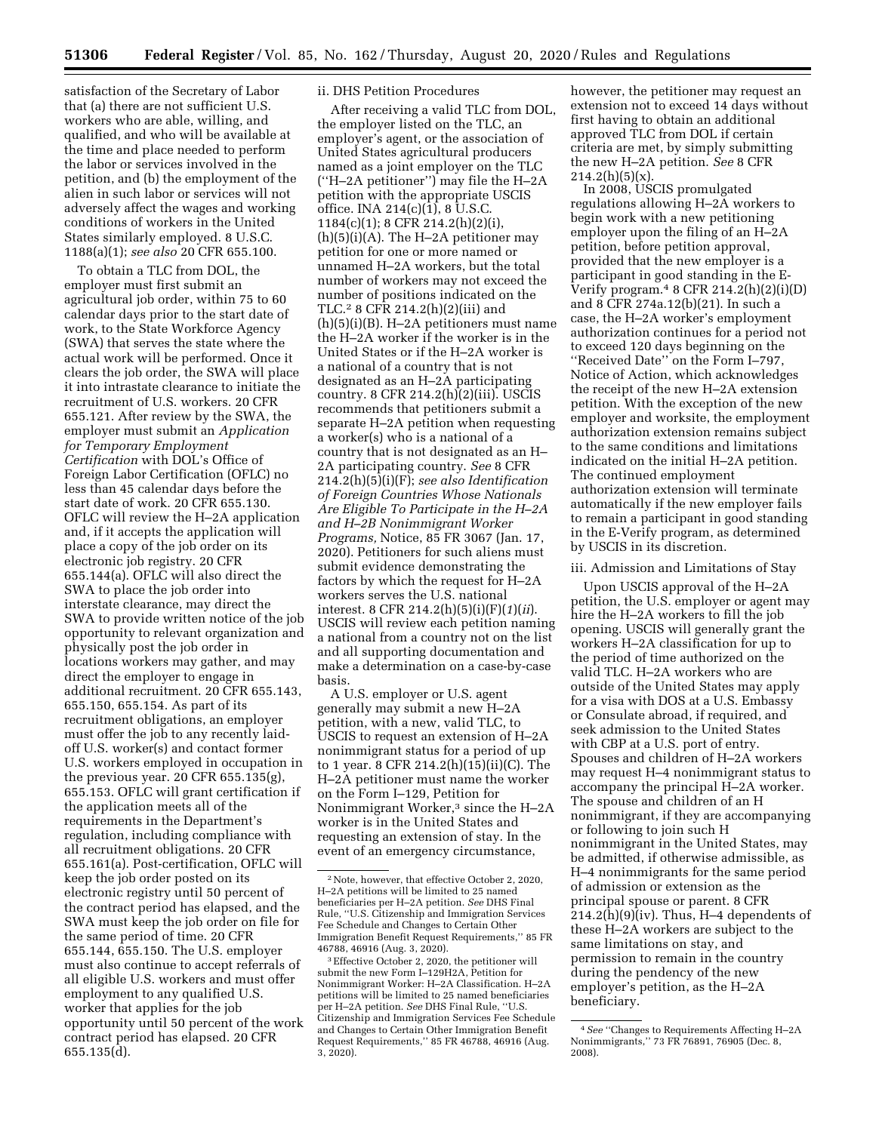satisfaction of the Secretary of Labor that (a) there are not sufficient U.S. workers who are able, willing, and qualified, and who will be available at the time and place needed to perform the labor or services involved in the petition, and (b) the employment of the alien in such labor or services will not adversely affect the wages and working conditions of workers in the United States similarly employed. 8 U.S.C. 1188(a)(1); *see also* 20 CFR 655.100.

To obtain a TLC from DOL, the employer must first submit an agricultural job order, within 75 to 60 calendar days prior to the start date of work, to the State Workforce Agency (SWA) that serves the state where the actual work will be performed. Once it clears the job order, the SWA will place it into intrastate clearance to initiate the recruitment of U.S. workers. 20 CFR 655.121. After review by the SWA, the employer must submit an *Application for Temporary Employment Certification* with DOL's Office of Foreign Labor Certification (OFLC) no less than 45 calendar days before the start date of work. 20 CFR 655.130. OFLC will review the H–2A application and, if it accepts the application will place a copy of the job order on its electronic job registry. 20 CFR 655.144(a). OFLC will also direct the SWA to place the job order into interstate clearance, may direct the SWA to provide written notice of the job opportunity to relevant organization and physically post the job order in locations workers may gather, and may direct the employer to engage in additional recruitment. 20 CFR 655.143, 655.150, 655.154. As part of its recruitment obligations, an employer must offer the job to any recently laidoff U.S. worker(s) and contact former U.S. workers employed in occupation in the previous year. 20 CFR 655.135(g), 655.153. OFLC will grant certification if the application meets all of the requirements in the Department's regulation, including compliance with all recruitment obligations. 20 CFR 655.161(a). Post-certification, OFLC will keep the job order posted on its electronic registry until 50 percent of the contract period has elapsed, and the SWA must keep the job order on file for the same period of time. 20 CFR 655.144, 655.150. The U.S. employer must also continue to accept referrals of all eligible U.S. workers and must offer employment to any qualified U.S. worker that applies for the job opportunity until 50 percent of the work contract period has elapsed. 20 CFR 655.135(d).

#### ii. DHS Petition Procedures

After receiving a valid TLC from DOL, the employer listed on the TLC, an employer's agent, or the association of United States agricultural producers named as a joint employer on the TLC (''H–2A petitioner'') may file the H–2A petition with the appropriate USCIS office. INA 214(c)(1), 8 U.S.C. 1184(c)(1); 8 CFR 214.2(h)(2)(i),  $(h)(5)(i)(A)$ . The H-2A petitioner may petition for one or more named or unnamed H–2A workers, but the total number of workers may not exceed the number of positions indicated on the TLC.2 8 CFR 214.2(h)(2)(iii) and (h)(5)(i)(B). H–2A petitioners must name the H–2A worker if the worker is in the United States or if the H–2A worker is a national of a country that is not designated as an H–2A participating country. 8 CFR 214.2(h)(2)(iii). USCIS recommends that petitioners submit a separate H–2A petition when requesting a worker(s) who is a national of a country that is not designated as an H– 2A participating country. *See* 8 CFR 214.2(h)(5)(i)(F); *see also Identification of Foreign Countries Whose Nationals Are Eligible To Participate in the H–2A and H–2B Nonimmigrant Worker Programs,* Notice, 85 FR 3067 (Jan. 17, 2020). Petitioners for such aliens must submit evidence demonstrating the factors by which the request for H–2A workers serves the U.S. national interest. 8 CFR 214.2(h)(5)(i)(F)(*1*)(*ii*). USCIS will review each petition naming a national from a country not on the list and all supporting documentation and make a determination on a case-by-case basis.

A U.S. employer or U.S. agent generally may submit a new H–2A petition, with a new, valid TLC, to USCIS to request an extension of H–2A nonimmigrant status for a period of up to 1 year. 8 CFR 214.2(h)(15)(ii)(C). The H–2A petitioner must name the worker on the Form I–129, Petition for Nonimmigrant Worker,<sup>3</sup> since the H–2A worker is in the United States and requesting an extension of stay. In the event of an emergency circumstance,

however, the petitioner may request an extension not to exceed 14 days without first having to obtain an additional approved TLC from DOL if certain criteria are met, by simply submitting the new H–2A petition. *See* 8 CFR  $214.2(h)(5)(x)$ .

In 2008, USCIS promulgated regulations allowing H–2A workers to begin work with a new petitioning employer upon the filing of an H–2A petition, before petition approval, provided that the new employer is a participant in good standing in the E-Verify program. $48$  CFR 214.2(h)(2)(i)(D) and 8 CFR 274a.12(b)(21). In such a case, the H–2A worker's employment authorization continues for a period not to exceed 120 days beginning on the ''Received Date'' on the Form I–797, Notice of Action, which acknowledges the receipt of the new H–2A extension petition. With the exception of the new employer and worksite, the employment authorization extension remains subject to the same conditions and limitations indicated on the initial H–2A petition. The continued employment authorization extension will terminate automatically if the new employer fails to remain a participant in good standing in the E-Verify program, as determined by USCIS in its discretion.

#### iii. Admission and Limitations of Stay

Upon USCIS approval of the H–2A petition, the U.S. employer or agent may hire the H–2A workers to fill the job opening. USCIS will generally grant the workers H–2A classification for up to the period of time authorized on the valid TLC. H–2A workers who are outside of the United States may apply for a visa with DOS at a U.S. Embassy or Consulate abroad, if required, and seek admission to the United States with CBP at a U.S. port of entry. Spouses and children of H–2A workers may request H–4 nonimmigrant status to accompany the principal H–2A worker. The spouse and children of an H nonimmigrant, if they are accompanying or following to join such H nonimmigrant in the United States, may be admitted, if otherwise admissible, as H–4 nonimmigrants for the same period of admission or extension as the principal spouse or parent. 8 CFR 214.2(h)(9)(iv). Thus, H–4 dependents of these H–2A workers are subject to the same limitations on stay, and permission to remain in the country during the pendency of the new employer's petition, as the H–2A beneficiary.

<sup>2</sup>Note, however, that effective October 2, 2020, H–2A petitions will be limited to 25 named beneficiaries per H–2A petition. *See* DHS Final Rule, ''U.S. Citizenship and Immigration Services Fee Schedule and Changes to Certain Other Immigration Benefit Request Requirements,'' 85 FR 46788, 46916 (Aug. 3, 2020).

<sup>3</sup>Effective October 2, 2020, the petitioner will submit the new Form I–129H2A, Petition for Nonimmigrant Worker: H–2A Classification. H–2A petitions will be limited to 25 named beneficiaries per H–2A petition. *See* DHS Final Rule, ''U.S. Citizenship and Immigration Services Fee Schedule and Changes to Certain Other Immigration Benefit Request Requirements,'' 85 FR 46788, 46916 (Aug. 3, 2020).

<sup>4</sup>*See* ''Changes to Requirements Affecting H–2A Nonimmigrants,'' 73 FR 76891, 76905 (Dec. 8, 2008).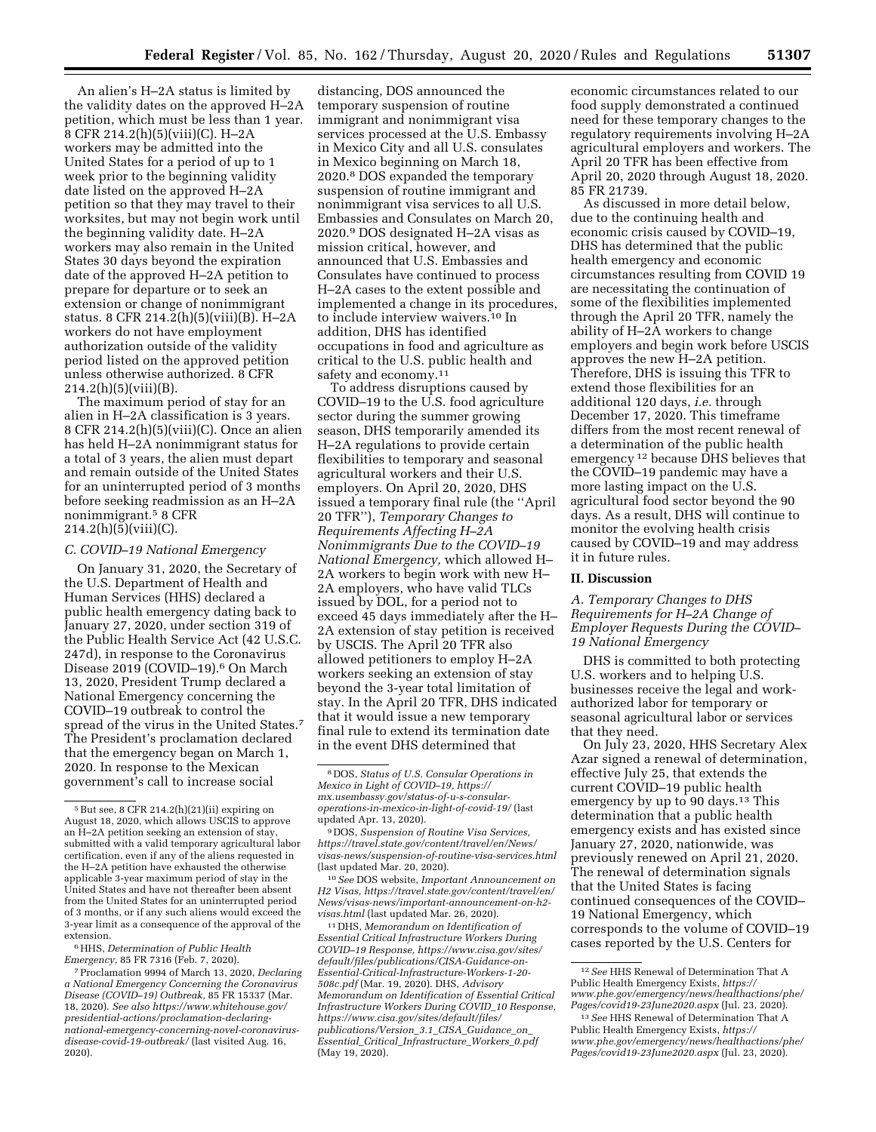An alien's H–2A status is limited by the validity dates on the approved H–2A petition, which must be less than 1 year. 8 CFR 214.2(h)(5)(viii)(C). H–2A workers may be admitted into the United States for a period of up to 1 week prior to the beginning validity date listed on the approved H–2A petition so that they may travel to their worksites, but may not begin work until the beginning validity date. H–2A workers may also remain in the United States 30 days beyond the expiration date of the approved H–2A petition to prepare for departure or to seek an extension or change of nonimmigrant status. 8 CFR 214.2(h)(5)(viii)(B). H–2A workers do not have employment authorization outside of the validity period listed on the approved petition unless otherwise authorized. 8 CFR  $214.2(h)(5)(viii)(B).$ 

The maximum period of stay for an alien in H–2A classification is 3 years. 8 CFR 214.2(h) $(5)(viii)(C)$ . Once an alien has held H–2A nonimmigrant status for a total of 3 years, the alien must depart and remain outside of the United States for an uninterrupted period of 3 months before seeking readmission as an H–2A nonimmigrant.5 8 CFR 214.2(h)(5)(viii)(C).

#### *C. COVID–19 National Emergency*

On January 31, 2020, the Secretary of the U.S. Department of Health and Human Services (HHS) declared a public health emergency dating back to January 27, 2020, under section 319 of the Public Health Service Act (42 U.S.C. 247d), in response to the Coronavirus Disease 2019 (COVID-19).<sup>6</sup> On March 13, 2020, President Trump declared a National Emergency concerning the COVID–19 outbreak to control the spread of the virus in the United States.7 The President's proclamation declared that the emergency began on March 1, 2020. In response to the Mexican government's call to increase social

6HHS, *Determination of Public Health Emergency,* 85 FR 7316 (Feb. 7, 2020).

distancing, DOS announced the temporary suspension of routine immigrant and nonimmigrant visa services processed at the U.S. Embassy in Mexico City and all U.S. consulates in Mexico beginning on March 18, 2020.8 DOS expanded the temporary suspension of routine immigrant and nonimmigrant visa services to all U.S. Embassies and Consulates on March 20, 2020.9 DOS designated H–2A visas as mission critical, however, and announced that U.S. Embassies and Consulates have continued to process H–2A cases to the extent possible and implemented a change in its procedures, to include interview waivers.10 In addition, DHS has identified occupations in food and agriculture as critical to the U.S. public health and safety and economy.11

To address disruptions caused by COVID–19 to the U.S. food agriculture sector during the summer growing season, DHS temporarily amended its H–2A regulations to provide certain flexibilities to temporary and seasonal agricultural workers and their U.S. employers. On April 20, 2020, DHS issued a temporary final rule (the ''April 20 TFR''), *Temporary Changes to Requirements Affecting H–2A Nonimmigrants Due to the COVID–19 National Emergency,* which allowed H– 2A workers to begin work with new H– 2A employers, who have valid TLCs issued by DOL, for a period not to exceed 45 days immediately after the H– 2A extension of stay petition is received by USCIS. The April 20 TFR also allowed petitioners to employ H–2A workers seeking an extension of stay beyond the 3-year total limitation of stay. In the April 20 TFR, DHS indicated that it would issue a new temporary final rule to extend its termination date in the event DHS determined that

11 DHS, *Memorandum on Identification of Essential Critical Infrastructure Workers During COVID–19 Response, [https://www.cisa.gov/sites/](https://www.cisa.gov/sites/default/files/publications/CISA-Guidance-on-Essential-Critical-Infrastructure-Workers-1-20-508c.pdf)  [default/files/publications/CISA-Guidance-on-](https://www.cisa.gov/sites/default/files/publications/CISA-Guidance-on-Essential-Critical-Infrastructure-Workers-1-20-508c.pdf)[Essential-Critical-Infrastructure-Workers-1-20-](https://www.cisa.gov/sites/default/files/publications/CISA-Guidance-on-Essential-Critical-Infrastructure-Workers-1-20-508c.pdf) [508c.pdf](https://www.cisa.gov/sites/default/files/publications/CISA-Guidance-on-Essential-Critical-Infrastructure-Workers-1-20-508c.pdf)* (Mar. 19, 2020). DHS, *Advisory Memorandum on Identification of Essential Critical Infrastructure Workers During COVID*\_*10 Response, [https://www.cisa.gov/sites/default/files/](https://www.cisa.gov/sites/default/files/publications/Version_3.1_CISA_Guidance_on_Essential_Critical_Infrastructure_Workers_0.pdf)  [publications/Version](https://www.cisa.gov/sites/default/files/publications/Version_3.1_CISA_Guidance_on_Essential_Critical_Infrastructure_Workers_0.pdf)*\_*3.1*\_*CISA*\_*Guidance*\_*on*\_ *Essential*\_*Critical*\_*[Infrastructure](https://www.cisa.gov/sites/default/files/publications/Version_3.1_CISA_Guidance_on_Essential_Critical_Infrastructure_Workers_0.pdf)*\_*Workers*\_*0.pdf*  (May 19, 2020).

economic circumstances related to our food supply demonstrated a continued need for these temporary changes to the regulatory requirements involving H–2A agricultural employers and workers. The April 20 TFR has been effective from April 20, 2020 through August 18, 2020. 85 FR 21739.

As discussed in more detail below, due to the continuing health and economic crisis caused by COVID–19, DHS has determined that the public health emergency and economic circumstances resulting from COVID 19 are necessitating the continuation of some of the flexibilities implemented through the April 20 TFR, namely the ability of H–2A workers to change employers and begin work before USCIS approves the new H–2A petition. Therefore, DHS is issuing this TFR to extend those flexibilities for an additional 120 days, *i.e.* through December 17, 2020. This timeframe differs from the most recent renewal of a determination of the public health emergency 12 because DHS believes that the COVID–19 pandemic may have a more lasting impact on the U.S. agricultural food sector beyond the 90 days. As a result, DHS will continue to monitor the evolving health crisis caused by COVID–19 and may address it in future rules.

#### **II. Discussion**

## *A. Temporary Changes to DHS Requirements for H–2A Change of Employer Requests During the COVID– 19 National Emergency*

DHS is committed to both protecting U.S. workers and to helping U.S. businesses receive the legal and workauthorized labor for temporary or seasonal agricultural labor or services that they need.

On July 23, 2020, HHS Secretary Alex Azar signed a renewal of determination, effective July 25, that extends the current COVID–19 public health emergency by up to 90 days.13 This determination that a public health emergency exists and has existed since January 27, 2020, nationwide, was previously renewed on April 21, 2020. The renewal of determination signals that the United States is facing continued consequences of the COVID– 19 National Emergency, which corresponds to the volume of COVID–19 cases reported by the U.S. Centers for

<sup>5</sup>But see, 8 CFR 214.2(h)(21)(ii) expiring on August 18, 2020, which allows USCIS to approve an H–2A petition seeking an extension of stay, submitted with a valid temporary agricultural labor certification, even if any of the aliens requested in the H–2A petition have exhausted the otherwise applicable 3-year maximum period of stay in the United States and have not thereafter been absent from the United States for an uninterrupted period of 3 months, or if any such aliens would exceed the 3-year limit as a consequence of the approval of the extension.

<sup>7</sup>Proclamation 9994 of March 13, 2020, *Declaring a National Emergency Concerning the Coronavirus Disease (COVID–19) Outbreak,* 85 FR 15337 (Mar. 18, 2020). *See also [https://www.whitehouse.gov/](https://www.whitehouse.gov/presidential-actions/proclamation-declaring-national-emergency-concerning-novel-coronavirus-disease-covid-19-outbreak/)  [presidential-actions/proclamation-declaring](https://www.whitehouse.gov/presidential-actions/proclamation-declaring-national-emergency-concerning-novel-coronavirus-disease-covid-19-outbreak/)[national-emergency-concerning-novel-coronavirus](https://www.whitehouse.gov/presidential-actions/proclamation-declaring-national-emergency-concerning-novel-coronavirus-disease-covid-19-outbreak/)[disease-covid-19-outbreak/](https://www.whitehouse.gov/presidential-actions/proclamation-declaring-national-emergency-concerning-novel-coronavirus-disease-covid-19-outbreak/)* (last visited Aug. 16, 2020).

<sup>8</sup> DOS, *Status of U.S. Consular Operations in Mexico in Light of COVID–19, [https://](https://mx.usembassy.gov/status-of-u-s-consular-operations-in-mexico-in-light-of-covid-19/) [mx.usembassy.gov/status-of-u-s-consular](https://mx.usembassy.gov/status-of-u-s-consular-operations-in-mexico-in-light-of-covid-19/)[operations-in-mexico-in-light-of-covid-19/](https://mx.usembassy.gov/status-of-u-s-consular-operations-in-mexico-in-light-of-covid-19/)* (last updated Apr. 13, 2020).

<sup>9</sup> DOS, *Suspension of Routine Visa Services, [https://travel.state.gov/content/travel/en/News/](https://travel.state.gov/content/travel/en/News/visas-news/suspension-of-routine-visa-services.html) [visas-news/suspension-of-routine-visa-services.html](https://travel.state.gov/content/travel/en/News/visas-news/suspension-of-routine-visa-services.html)*  (last updated Mar. 20, 2020).

<sup>10</sup>*See* DOS website, *Important Announcement on H2 Visas, [https://travel.state.gov/content/travel/en/](https://travel.state.gov/content/travel/en/News/visas-news/important-announcement-on-h2-visas.html)  [News/visas-news/important-announcement-on-h2](https://travel.state.gov/content/travel/en/News/visas-news/important-announcement-on-h2-visas.html) [visas.html](https://travel.state.gov/content/travel/en/News/visas-news/important-announcement-on-h2-visas.html)* (last updated Mar. 26, 2020).

<sup>12</sup>*See* HHS Renewal of Determination That A Public Health Emergency Exists, *[https://](https://www.phe.gov/emergency/news/healthactions/phe/Pages/covid19-23June2020.aspx) [www.phe.gov/emergency/news/healthactions/phe/](https://www.phe.gov/emergency/news/healthactions/phe/Pages/covid19-23June2020.aspx)  [Pages/covid19-23June2020.aspx](https://www.phe.gov/emergency/news/healthactions/phe/Pages/covid19-23June2020.aspx)* (Jul. 23, 2020).

<sup>13</sup>*See* HHS Renewal of Determination That A Public Health Emergency Exists, *[https://](https://www.phe.gov/emergency/news/healthactions/phe/Pages/covid19-23June2020.aspx) [www.phe.gov/emergency/news/healthactions/phe/](https://www.phe.gov/emergency/news/healthactions/phe/Pages/covid19-23June2020.aspx)  [Pages/covid19-23June2020.aspx](https://www.phe.gov/emergency/news/healthactions/phe/Pages/covid19-23June2020.aspx)* (Jul. 23, 2020).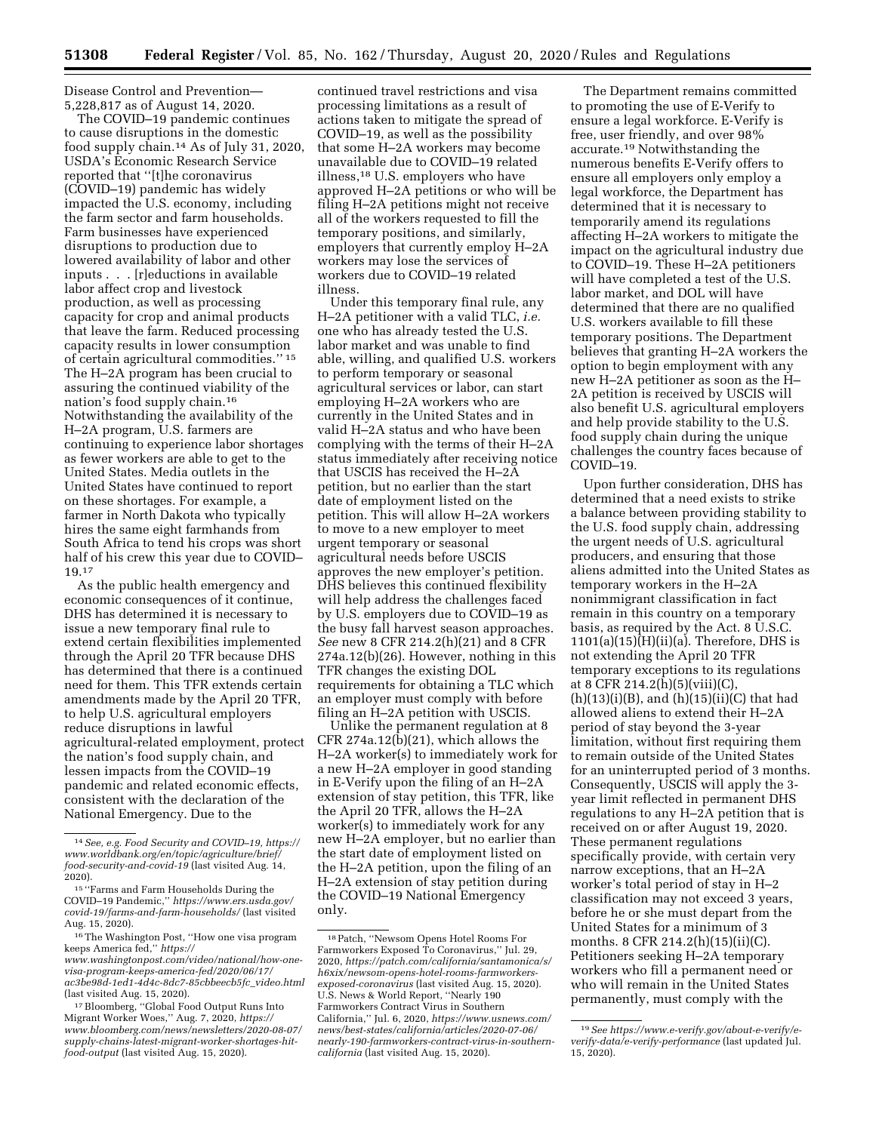Disease Control and Prevention— 5,228,817 as of August 14, 2020.

The COVID–19 pandemic continues to cause disruptions in the domestic food supply chain.14 As of July 31, 2020, USDA's Economic Research Service reported that ''[t]he coronavirus (COVID–19) pandemic has widely impacted the U.S. economy, including the farm sector and farm households. Farm businesses have experienced disruptions to production due to lowered availability of labor and other inputs . . . [r]eductions in available labor affect crop and livestock production, as well as processing capacity for crop and animal products that leave the farm. Reduced processing capacity results in lower consumption of certain agricultural commodities.'' 15 The H–2A program has been crucial to assuring the continued viability of the nation's food supply chain.16 Notwithstanding the availability of the H–2A program, U.S. farmers are continuing to experience labor shortages as fewer workers are able to get to the United States. Media outlets in the United States have continued to report on these shortages. For example, a farmer in North Dakota who typically hires the same eight farmhands from South Africa to tend his crops was short half of his crew this year due to COVID– 19.17

As the public health emergency and economic consequences of it continue, DHS has determined it is necessary to issue a new temporary final rule to extend certain flexibilities implemented through the April 20 TFR because DHS has determined that there is a continued need for them. This TFR extends certain amendments made by the April 20 TFR, to help U.S. agricultural employers reduce disruptions in lawful agricultural-related employment, protect the nation's food supply chain, and lessen impacts from the COVID–19 pandemic and related economic effects, consistent with the declaration of the National Emergency. Due to the

continued travel restrictions and visa processing limitations as a result of actions taken to mitigate the spread of COVID–19, as well as the possibility that some H–2A workers may become unavailable due to COVID–19 related illness,18 U.S. employers who have approved H–2A petitions or who will be filing H–2A petitions might not receive all of the workers requested to fill the temporary positions, and similarly, employers that currently employ H–2A workers may lose the services of workers due to COVID–19 related illness.

Under this temporary final rule, any H–2A petitioner with a valid TLC, *i.e.*  one who has already tested the U.S. labor market and was unable to find able, willing, and qualified U.S. workers to perform temporary or seasonal agricultural services or labor, can start employing H–2A workers who are currently in the United States and in valid H–2A status and who have been complying with the terms of their H–2A status immediately after receiving notice that USCIS has received the H–2A petition, but no earlier than the start date of employment listed on the petition. This will allow H–2A workers to move to a new employer to meet urgent temporary or seasonal agricultural needs before USCIS approves the new employer's petition. DHS believes this continued flexibility will help address the challenges faced by U.S. employers due to COVID–19 as the busy fall harvest season approaches. *See* new 8 CFR 214.2(h)(21) and 8 CFR 274a.12(b)(26). However, nothing in this TFR changes the existing DOL requirements for obtaining a TLC which an employer must comply with before filing an H–2A petition with USCIS.

Unlike the permanent regulation at 8 CFR 274a.12(b)(21), which allows the H–2A worker(s) to immediately work for a new H–2A employer in good standing in E-Verify upon the filing of an H–2A extension of stay petition, this TFR, like the April 20 TFR, allows the H–2A worker(s) to immediately work for any new H–2A employer, but no earlier than the start date of employment listed on the H–2A petition, upon the filing of an H–2A extension of stay petition during the COVID–19 National Emergency only.

The Department remains committed to promoting the use of E-Verify to ensure a legal workforce. E-Verify is free, user friendly, and over 98% accurate.19 Notwithstanding the numerous benefits E-Verify offers to ensure all employers only employ a legal workforce, the Department has determined that it is necessary to temporarily amend its regulations affecting H–2A workers to mitigate the impact on the agricultural industry due to COVID–19. These H–2A petitioners will have completed a test of the U.S. labor market, and DOL will have determined that there are no qualified U.S. workers available to fill these temporary positions. The Department believes that granting H–2A workers the option to begin employment with any new H–2A petitioner as soon as the H– 2A petition is received by USCIS will also benefit U.S. agricultural employers and help provide stability to the U.S. food supply chain during the unique challenges the country faces because of COVID–19.

Upon further consideration, DHS has determined that a need exists to strike a balance between providing stability to the U.S. food supply chain, addressing the urgent needs of U.S. agricultural producers, and ensuring that those aliens admitted into the United States as temporary workers in the H–2A nonimmigrant classification in fact remain in this country on a temporary basis, as required by the Act. 8 U.S.C.  $1101(a)(15)(H)(ii)(a)$ . Therefore, DHS is not extending the April 20 TFR temporary exceptions to its regulations at 8 CFR 214.2(h)(5)(viii)(C),  $(h)(13)(i)(B)$ , and  $(h)(15)(ii)(C)$  that had allowed aliens to extend their H–2A period of stay beyond the 3-year limitation, without first requiring them to remain outside of the United States for an uninterrupted period of 3 months. Consequently, USCIS will apply the 3 year limit reflected in permanent DHS regulations to any H–2A petition that is received on or after August 19, 2020. These permanent regulations specifically provide, with certain very narrow exceptions, that an H–2A worker's total period of stay in H–2 classification may not exceed 3 years, before he or she must depart from the United States for a minimum of 3 months. 8 CFR 214.2(h)(15)(ii)(C). Petitioners seeking H–2A temporary workers who fill a permanent need or who will remain in the United States permanently, must comply with the

<sup>14</sup>*See, e.g. Food Security and COVID–19, [https://](https://www.worldbank.org/en/topic/agriculture/brief/food-security-and-covid-19) [www.worldbank.org/en/topic/agriculture/brief/](https://www.worldbank.org/en/topic/agriculture/brief/food-security-and-covid-19)  [food-security-and-covid-19](https://www.worldbank.org/en/topic/agriculture/brief/food-security-and-covid-19)* (last visited Aug. 14, 2020).

<sup>15</sup> ''Farms and Farm Households During the COVID–19 Pandemic,'' *[https://www.ers.usda.gov/](https://www.ers.usda.gov/covid-19/farms-and-farm-households/)  [covid-19/farms-and-farm-households/](https://www.ers.usda.gov/covid-19/farms-and-farm-households/)* (last visited Aug. 15, 2020).

<sup>16</sup>The Washington Post, ''How one visa program keeps America fed,'' *[https://](https://www.washingtonpost.com/video/national/how-one-visa-program-keeps-america-fed/2020/06/17/ac3be98d-1ed1-4d4c-8dc7-85cbbeecb5fc_video.html)*

*[www.washingtonpost.com/video/national/how-one](https://www.washingtonpost.com/video/national/how-one-visa-program-keeps-america-fed/2020/06/17/ac3be98d-1ed1-4d4c-8dc7-85cbbeecb5fc_video.html)[visa-program-keeps-america-fed/2020/06/17/](https://www.washingtonpost.com/video/national/how-one-visa-program-keeps-america-fed/2020/06/17/ac3be98d-1ed1-4d4c-8dc7-85cbbeecb5fc_video.html)  [ac3be98d-1ed1-4d4c-8dc7-85cbbeecb5fc](https://www.washingtonpost.com/video/national/how-one-visa-program-keeps-america-fed/2020/06/17/ac3be98d-1ed1-4d4c-8dc7-85cbbeecb5fc_video.html)*\_*video.html*  (last visited Aug. 15, 2020).

<sup>17</sup>Bloomberg, ''Global Food Output Runs Into Migrant Worker Woes,'' Aug. 7, 2020, *[https://](https://www.bloomberg.com/news/newsletters/2020-08-07/supply-chains-latest-migrant-worker-shortages-hit-food-output) [www.bloomberg.com/news/newsletters/2020-08-07/](https://www.bloomberg.com/news/newsletters/2020-08-07/supply-chains-latest-migrant-worker-shortages-hit-food-output)  [supply-chains-latest-migrant-worker-shortages-hit](https://www.bloomberg.com/news/newsletters/2020-08-07/supply-chains-latest-migrant-worker-shortages-hit-food-output)[food-output](https://www.bloomberg.com/news/newsletters/2020-08-07/supply-chains-latest-migrant-worker-shortages-hit-food-output)* (last visited Aug. 15, 2020).

<sup>18</sup>Patch, ''Newsom Opens Hotel Rooms For Farmworkers Exposed To Coronavirus,'' Jul. 29, 2020, *[https://patch.com/california/santamonica/s/](https://patch.com/california/santamonica/s/h6xix/newsom-opens-hotel-rooms-farmworkers-exposed-coronavirus)  [h6xix/newsom-opens-hotel-rooms-farmworkers](https://patch.com/california/santamonica/s/h6xix/newsom-opens-hotel-rooms-farmworkers-exposed-coronavirus)[exposed-coronavirus](https://patch.com/california/santamonica/s/h6xix/newsom-opens-hotel-rooms-farmworkers-exposed-coronavirus)* (last visited Aug. 15, 2020). U.S. News & World Report, ''Nearly 190 Farmworkers Contract Virus in Southern California,'' Jul. 6, 2020, *[https://www.usnews.com/](https://www.usnews.com/news/best-states/california/articles/2020-07-06/nearly-190-farmworkers-contract-virus-in-southern-california)  news/best-states/california/articles/2020-07-06/ [nearly-190-farmworkers-contract-virus-in-southern](https://www.usnews.com/news/best-states/california/articles/2020-07-06/nearly-190-farmworkers-contract-virus-in-southern-california)[california](https://www.usnews.com/news/best-states/california/articles/2020-07-06/nearly-190-farmworkers-contract-virus-in-southern-california)* (last visited Aug. 15, 2020).

<sup>19</sup>*See [https://www.e-verify.gov/about-e-verify/e](https://www.e-verify.gov/about-e-verify/e-verify-data/e-verify-performance)[verify-data/e-verify-performance](https://www.e-verify.gov/about-e-verify/e-verify-data/e-verify-performance)* (last updated Jul. 15, 2020).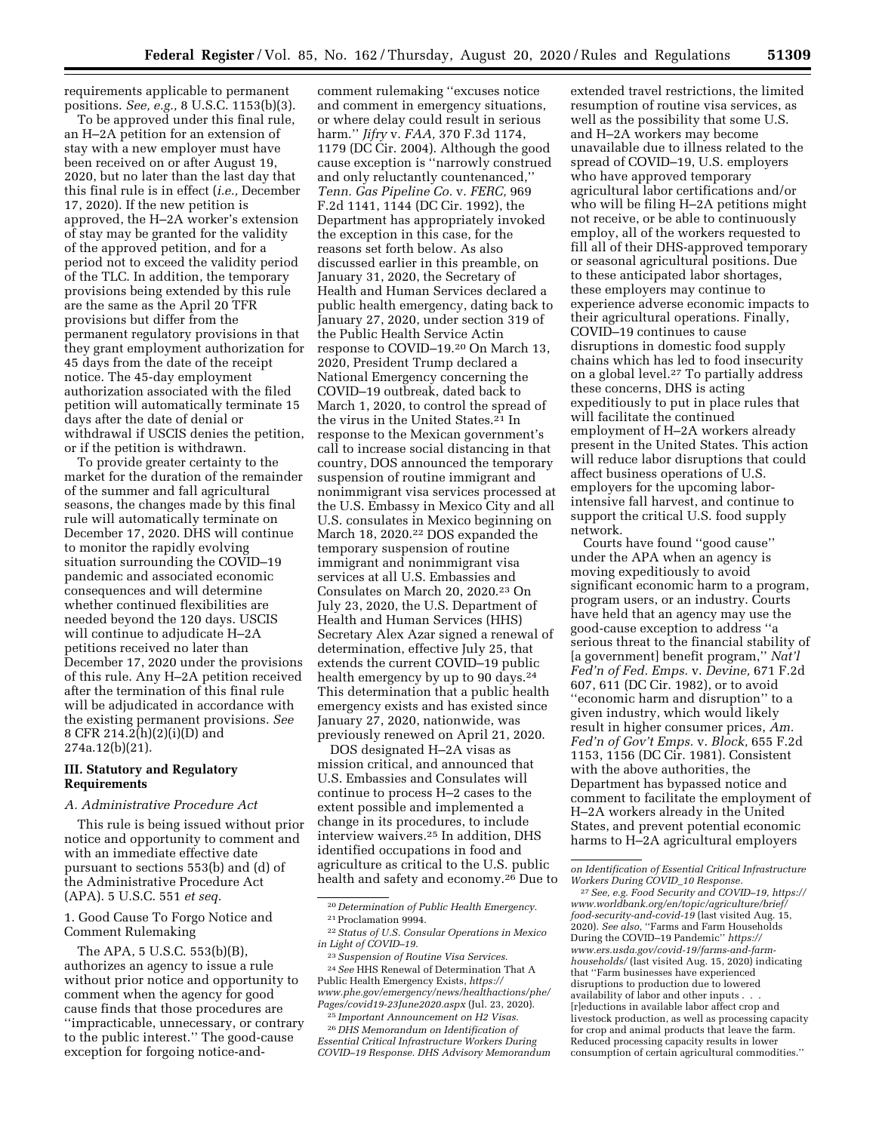requirements applicable to permanent positions. *See, e.g.,* 8 U.S.C. 1153(b)(3).

To be approved under this final rule, an H–2A petition for an extension of stay with a new employer must have been received on or after August 19, 2020, but no later than the last day that this final rule is in effect (*i.e.,* December 17, 2020). If the new petition is approved, the H–2A worker's extension of stay may be granted for the validity of the approved petition, and for a period not to exceed the validity period of the TLC. In addition, the temporary provisions being extended by this rule are the same as the April 20 TFR provisions but differ from the permanent regulatory provisions in that they grant employment authorization for 45 days from the date of the receipt notice. The 45-day employment authorization associated with the filed petition will automatically terminate 15 days after the date of denial or withdrawal if USCIS denies the petition, or if the petition is withdrawn.

To provide greater certainty to the market for the duration of the remainder of the summer and fall agricultural seasons, the changes made by this final rule will automatically terminate on December 17, 2020. DHS will continue to monitor the rapidly evolving situation surrounding the COVID–19 pandemic and associated economic consequences and will determine whether continued flexibilities are needed beyond the 120 days. USCIS will continue to adjudicate H–2A petitions received no later than December 17, 2020 under the provisions of this rule. Any H–2A petition received after the termination of this final rule will be adjudicated in accordance with the existing permanent provisions. *See*  8 CFR 214.2(h)(2)(i)(D) and 274a.12(b)(21).

## **III. Statutory and Regulatory Requirements**

#### *A. Administrative Procedure Act*

This rule is being issued without prior notice and opportunity to comment and with an immediate effective date pursuant to sections 553(b) and (d) of the Administrative Procedure Act (APA). 5 U.S.C. 551 *et seq.* 

## 1. Good Cause To Forgo Notice and Comment Rulemaking

The APA, 5 U.S.C. 553(b)(B), authorizes an agency to issue a rule without prior notice and opportunity to comment when the agency for good cause finds that those procedures are ''impracticable, unnecessary, or contrary to the public interest.'' The good-cause exception for forgoing notice-and-

comment rulemaking ''excuses notice and comment in emergency situations, or where delay could result in serious harm.'' *Jifry* v. *FAA,* 370 F.3d 1174, 1179 (DC Cir. 2004). Although the good cause exception is ''narrowly construed and only reluctantly countenanced,'' *Tenn. Gas Pipeline Co.* v. *FERC,* 969 F.2d 1141, 1144 (DC Cir. 1992), the Department has appropriately invoked the exception in this case, for the reasons set forth below. As also discussed earlier in this preamble, on January 31, 2020, the Secretary of Health and Human Services declared a public health emergency, dating back to January 27, 2020, under section 319 of the Public Health Service Actin response to COVID–19.20 On March 13, 2020, President Trump declared a National Emergency concerning the COVID–19 outbreak, dated back to March 1, 2020, to control the spread of the virus in the United States.21 In response to the Mexican government's call to increase social distancing in that country, DOS announced the temporary suspension of routine immigrant and nonimmigrant visa services processed at the U.S. Embassy in Mexico City and all U.S. consulates in Mexico beginning on March 18, 2020.<sup>22</sup> DOS expanded the temporary suspension of routine immigrant and nonimmigrant visa services at all U.S. Embassies and Consulates on March 20, 2020.23 On July 23, 2020, the U.S. Department of Health and Human Services (HHS) Secretary Alex Azar signed a renewal of determination, effective July 25, that extends the current COVID–19 public health emergency by up to 90 days.<sup>24</sup> This determination that a public health emergency exists and has existed since January 27, 2020, nationwide, was previously renewed on April 21, 2020.

DOS designated H–2A visas as mission critical, and announced that U.S. Embassies and Consulates will continue to process H–2 cases to the extent possible and implemented a change in its procedures, to include interview waivers.25 In addition, DHS identified occupations in food and agriculture as critical to the U.S. public health and safety and economy.26 Due to

23*Suspension of Routine Visa Services.*  24*See* HHS Renewal of Determination That A Public Health Emergency Exists, *[https://](https://www.phe.gov/emergency/news/healthactions/phe/Pages/covid19-23June2020.aspx) [www.phe.gov/emergency/news/healthactions/phe/](https://www.phe.gov/emergency/news/healthactions/phe/Pages/covid19-23June2020.aspx)  [Pages/covid19-23June2020.aspx](https://www.phe.gov/emergency/news/healthactions/phe/Pages/covid19-23June2020.aspx)* (Jul. 23, 2020).

25 *Important Announcement on H2 Visas.*  26 *DHS Memorandum on Identification of Essential Critical Infrastructure Workers During COVID–19 Response. DHS Advisory Memorandum* 

extended travel restrictions, the limited resumption of routine visa services, as well as the possibility that some U.S. and H–2A workers may become unavailable due to illness related to the spread of COVID–19, U.S. employers who have approved temporary agricultural labor certifications and/or who will be filing H–2A petitions might not receive, or be able to continuously employ, all of the workers requested to fill all of their DHS-approved temporary or seasonal agricultural positions. Due to these anticipated labor shortages, these employers may continue to experience adverse economic impacts to their agricultural operations. Finally, COVID–19 continues to cause disruptions in domestic food supply chains which has led to food insecurity on a global level.27 To partially address these concerns, DHS is acting expeditiously to put in place rules that will facilitate the continued employment of H–2A workers already present in the United States. This action will reduce labor disruptions that could affect business operations of U.S. employers for the upcoming laborintensive fall harvest, and continue to support the critical U.S. food supply network.

Courts have found ''good cause'' under the APA when an agency is moving expeditiously to avoid significant economic harm to a program, program users, or an industry. Courts have held that an agency may use the good-cause exception to address ''a serious threat to the financial stability of [a government] benefit program,'' *Nat'l Fed'n of Fed. Emps.* v. *Devine,* 671 F.2d 607, 611 (DC Cir. 1982), or to avoid ''economic harm and disruption'' to a given industry, which would likely result in higher consumer prices, *Am. Fed'n of Gov't Emps.* v. *Block,* 655 F.2d 1153, 1156 (DC Cir. 1981). Consistent with the above authorities, the Department has bypassed notice and comment to facilitate the employment of H–2A workers already in the United States, and prevent potential economic harms to H–2A agricultural employers

<sup>20</sup> *Determination of Public Health Emergency.*  21Proclamation 9994.

<sup>22</sup>*Status of U.S. Consular Operations in Mexico in Light of COVID–19.* 

*on Identification of Essential Critical Infrastructure Workers During COVID*\_*10 Response.* 

<sup>27</sup>*See, e.g. Food Security and COVID–19, [https://](https://www.worldbank.org/en/topic/agriculture/brief/food-security-and-covid-19) [www.worldbank.org/en/topic/agriculture/brief/](https://www.worldbank.org/en/topic/agriculture/brief/food-security-and-covid-19)  [food-security-and-covid-19](https://www.worldbank.org/en/topic/agriculture/brief/food-security-and-covid-19)* (last visited Aug. 15, 2020). *See also,* ''Farms and Farm Households During the COVID–19 Pandemic'' *[https://](https://www.ers.usda.gov/covid-19/farms-and-farm-households/) [www.ers.usda.gov/covid-19/farms-and-farm](https://www.ers.usda.gov/covid-19/farms-and-farm-households/)[households/](https://www.ers.usda.gov/covid-19/farms-and-farm-households/)* (last visited Aug. 15, 2020) indicating that ''Farm businesses have experienced disruptions to production due to lowered availability of labor and other inputs . . . [r]eductions in available labor affect crop and livestock production, as well as processing capacity for crop and animal products that leave the farm. Reduced processing capacity results in lower consumption of certain agricultural commodities.''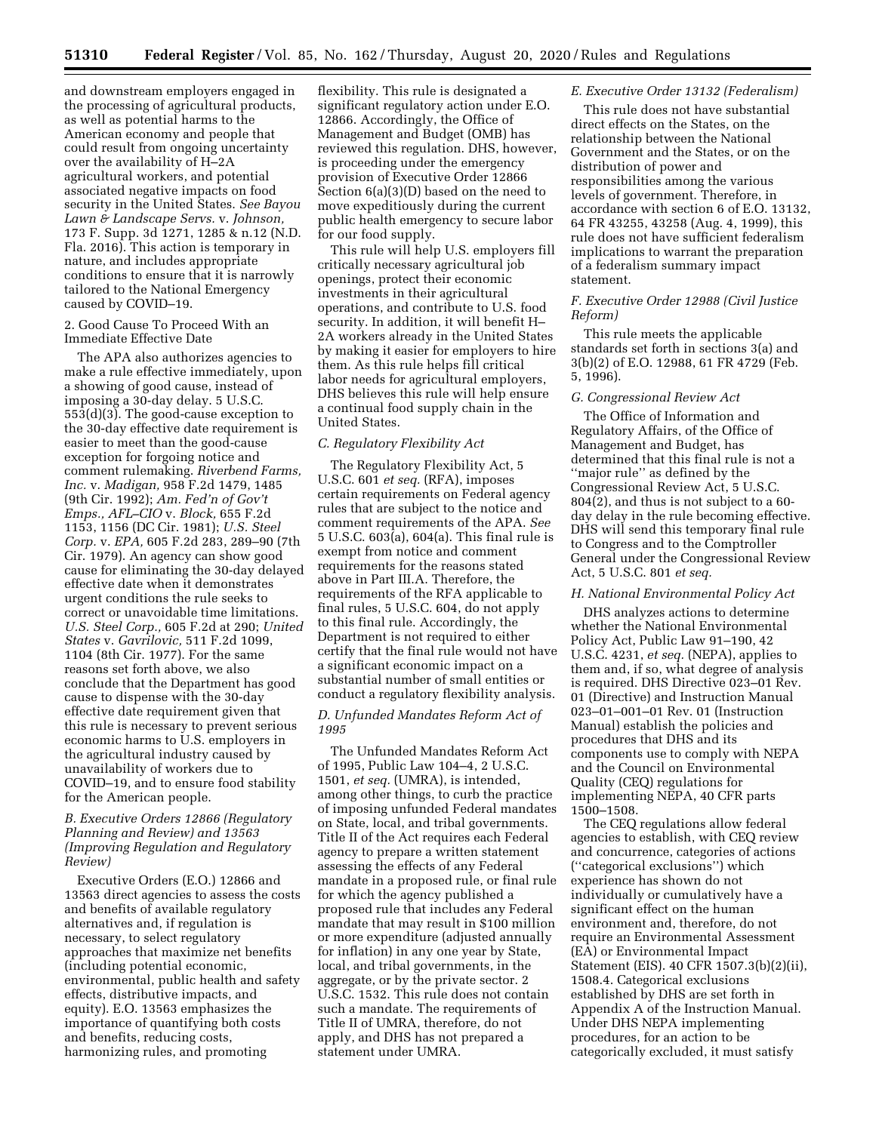and downstream employers engaged in the processing of agricultural products, as well as potential harms to the American economy and people that could result from ongoing uncertainty over the availability of H–2A agricultural workers, and potential associated negative impacts on food security in the United States. *See Bayou Lawn & Landscape Servs.* v. *Johnson,*  173 F. Supp. 3d 1271, 1285 & n.12 (N.D. Fla. 2016). This action is temporary in nature, and includes appropriate conditions to ensure that it is narrowly tailored to the National Emergency caused by COVID–19.

2. Good Cause To Proceed With an Immediate Effective Date

The APA also authorizes agencies to make a rule effective immediately, upon a showing of good cause, instead of imposing a 30-day delay. 5 U.S.C. 553(d)(3). The good-cause exception to the 30-day effective date requirement is easier to meet than the good-cause exception for forgoing notice and comment rulemaking. *Riverbend Farms, Inc.* v. *Madigan,* 958 F.2d 1479, 1485 (9th Cir. 1992); *Am. Fed'n of Gov't Emps., AFL–CIO* v. *Block,* 655 F.2d 1153, 1156 (DC Cir. 1981); *U.S. Steel Corp.* v. *EPA,* 605 F.2d 283, 289–90 (7th Cir. 1979). An agency can show good cause for eliminating the 30-day delayed effective date when it demonstrates urgent conditions the rule seeks to correct or unavoidable time limitations. *U.S. Steel Corp.,* 605 F.2d at 290; *United States* v. *Gavrilovic,* 511 F.2d 1099, 1104 (8th Cir. 1977). For the same reasons set forth above, we also conclude that the Department has good cause to dispense with the 30-day effective date requirement given that this rule is necessary to prevent serious economic harms to U.S. employers in the agricultural industry caused by unavailability of workers due to COVID–19, and to ensure food stability for the American people.

## *B. Executive Orders 12866 (Regulatory Planning and Review) and 13563 (Improving Regulation and Regulatory Review)*

Executive Orders (E.O.) 12866 and 13563 direct agencies to assess the costs and benefits of available regulatory alternatives and, if regulation is necessary, to select regulatory approaches that maximize net benefits (including potential economic, environmental, public health and safety effects, distributive impacts, and equity). E.O. 13563 emphasizes the importance of quantifying both costs and benefits, reducing costs, harmonizing rules, and promoting

flexibility. This rule is designated a significant regulatory action under E.O. 12866. Accordingly, the Office of Management and Budget (OMB) has reviewed this regulation. DHS, however, is proceeding under the emergency provision of Executive Order 12866 Section 6(a)(3)(D) based on the need to move expeditiously during the current public health emergency to secure labor for our food supply.

This rule will help U.S. employers fill critically necessary agricultural job openings, protect their economic investments in their agricultural operations, and contribute to U.S. food security. In addition, it will benefit H– 2A workers already in the United States by making it easier for employers to hire them. As this rule helps fill critical labor needs for agricultural employers, DHS believes this rule will help ensure a continual food supply chain in the United States.

#### *C. Regulatory Flexibility Act*

The Regulatory Flexibility Act, 5 U.S.C. 601 *et seq.* (RFA), imposes certain requirements on Federal agency rules that are subject to the notice and comment requirements of the APA. *See*  5 U.S.C. 603(a), 604(a). This final rule is exempt from notice and comment requirements for the reasons stated above in Part III.A. Therefore, the requirements of the RFA applicable to final rules, 5 U.S.C. 604, do not apply to this final rule. Accordingly, the Department is not required to either certify that the final rule would not have a significant economic impact on a substantial number of small entities or conduct a regulatory flexibility analysis.

#### *D. Unfunded Mandates Reform Act of 1995*

The Unfunded Mandates Reform Act of 1995, Public Law 104–4, 2 U.S.C. 1501, *et seq.* (UMRA), is intended, among other things, to curb the practice of imposing unfunded Federal mandates on State, local, and tribal governments. Title II of the Act requires each Federal agency to prepare a written statement assessing the effects of any Federal mandate in a proposed rule, or final rule for which the agency published a proposed rule that includes any Federal mandate that may result in \$100 million or more expenditure (adjusted annually for inflation) in any one year by State, local, and tribal governments, in the aggregate, or by the private sector. 2 U.S.C. 1532. This rule does not contain such a mandate. The requirements of Title II of UMRA, therefore, do not apply, and DHS has not prepared a statement under UMRA.

#### *E. Executive Order 13132 (Federalism)*

This rule does not have substantial direct effects on the States, on the relationship between the National Government and the States, or on the distribution of power and responsibilities among the various levels of government. Therefore, in accordance with section 6 of E.O. 13132, 64 FR 43255, 43258 (Aug. 4, 1999), this rule does not have sufficient federalism implications to warrant the preparation of a federalism summary impact statement.

## *F. Executive Order 12988 (Civil Justice Reform)*

This rule meets the applicable standards set forth in sections 3(a) and 3(b)(2) of E.O. 12988, 61 FR 4729 (Feb. 5, 1996).

## *G. Congressional Review Act*

The Office of Information and Regulatory Affairs, of the Office of Management and Budget, has determined that this final rule is not a ''major rule'' as defined by the Congressional Review Act, 5 U.S.C. 804(2), and thus is not subject to a 60 day delay in the rule becoming effective. DHS will send this temporary final rule to Congress and to the Comptroller General under the Congressional Review Act, 5 U.S.C. 801 *et seq.* 

#### *H. National Environmental Policy Act*

DHS analyzes actions to determine whether the National Environmental Policy Act, Public Law 91–190, 42 U.S.C. 4231, *et seq.* (NEPA), applies to them and, if so, what degree of analysis is required. DHS Directive 023–01 Rev. 01 (Directive) and Instruction Manual 023–01–001–01 Rev. 01 (Instruction Manual) establish the policies and procedures that DHS and its components use to comply with NEPA and the Council on Environmental Quality (CEQ) regulations for implementing NEPA, 40 CFR parts 1500–1508.

The CEQ regulations allow federal agencies to establish, with CEQ review and concurrence, categories of actions (''categorical exclusions'') which experience has shown do not individually or cumulatively have a significant effect on the human environment and, therefore, do not require an Environmental Assessment (EA) or Environmental Impact Statement (EIS). 40 CFR 1507.3(b)(2)(ii), 1508.4. Categorical exclusions established by DHS are set forth in Appendix A of the Instruction Manual. Under DHS NEPA implementing procedures, for an action to be categorically excluded, it must satisfy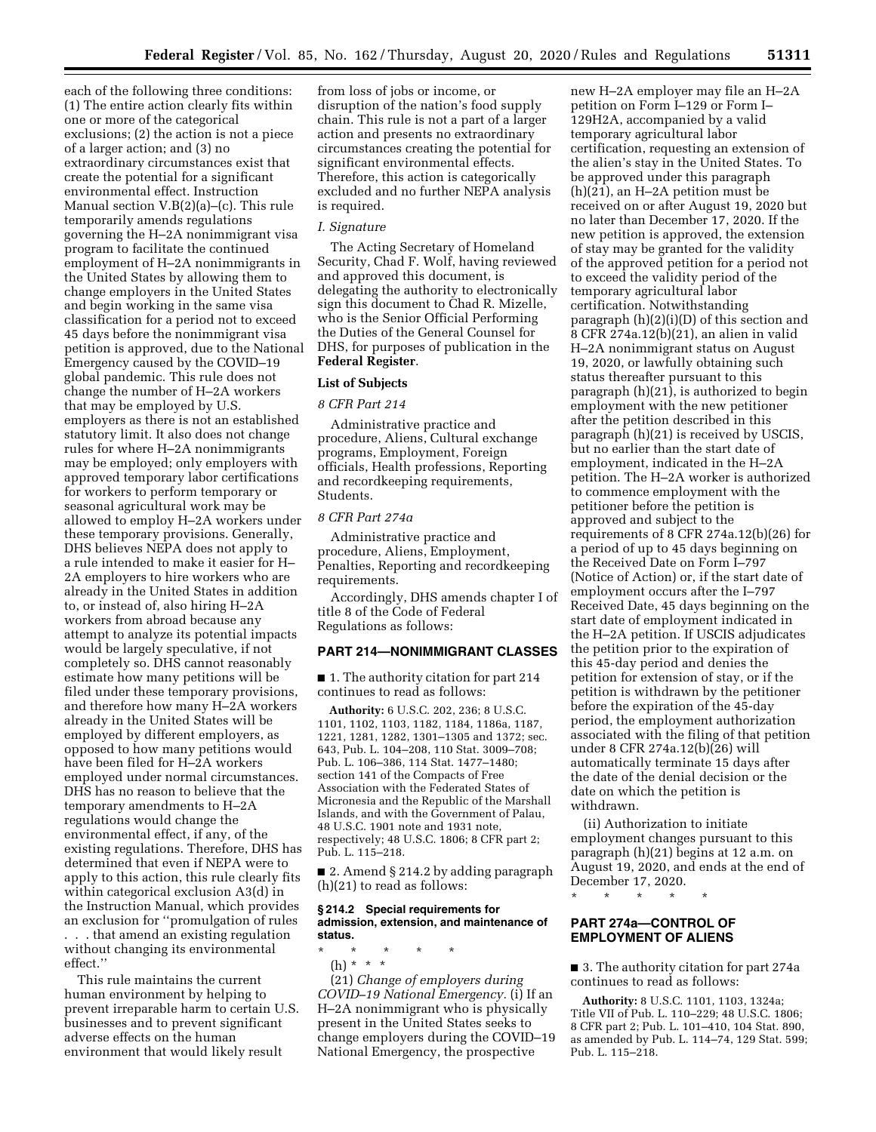each of the following three conditions: (1) The entire action clearly fits within one or more of the categorical exclusions; (2) the action is not a piece of a larger action; and (3) no extraordinary circumstances exist that create the potential for a significant environmental effect. Instruction Manual section V.B(2)(a)–(c). This rule temporarily amends regulations governing the H–2A nonimmigrant visa program to facilitate the continued employment of H–2A nonimmigrants in the United States by allowing them to change employers in the United States and begin working in the same visa classification for a period not to exceed 45 days before the nonimmigrant visa petition is approved, due to the National Emergency caused by the COVID–19 global pandemic. This rule does not change the number of H–2A workers that may be employed by U.S. employers as there is not an established statutory limit. It also does not change rules for where H–2A nonimmigrants may be employed; only employers with approved temporary labor certifications for workers to perform temporary or seasonal agricultural work may be allowed to employ H–2A workers under these temporary provisions. Generally, DHS believes NEPA does not apply to a rule intended to make it easier for H– 2A employers to hire workers who are already in the United States in addition to, or instead of, also hiring H–2A workers from abroad because any attempt to analyze its potential impacts would be largely speculative, if not completely so. DHS cannot reasonably estimate how many petitions will be filed under these temporary provisions, and therefore how many H–2A workers already in the United States will be employed by different employers, as opposed to how many petitions would have been filed for H–2A workers employed under normal circumstances. DHS has no reason to believe that the temporary amendments to H–2A regulations would change the environmental effect, if any, of the existing regulations. Therefore, DHS has determined that even if NEPA were to apply to this action, this rule clearly fits within categorical exclusion A3(d) in the Instruction Manual, which provides an exclusion for ''promulgation of rules . . . that amend an existing regulation without changing its environmental effect.''

This rule maintains the current human environment by helping to prevent irreparable harm to certain U.S. businesses and to prevent significant adverse effects on the human environment that would likely result

from loss of jobs or income, or disruption of the nation's food supply chain. This rule is not a part of a larger action and presents no extraordinary circumstances creating the potential for significant environmental effects. Therefore, this action is categorically excluded and no further NEPA analysis is required.

#### *I. Signature*

The Acting Secretary of Homeland Security, Chad F. Wolf, having reviewed and approved this document, is delegating the authority to electronically sign this document to Chad R. Mizelle, who is the Senior Official Performing the Duties of the General Counsel for DHS, for purposes of publication in the **Federal Register**.

#### **List of Subjects**

## *8 CFR Part 214*

Administrative practice and procedure, Aliens, Cultural exchange programs, Employment, Foreign officials, Health professions, Reporting and recordkeeping requirements, Students.

## *8 CFR Part 274a*

Administrative practice and procedure, Aliens, Employment, Penalties, Reporting and recordkeeping requirements.

Accordingly, DHS amends chapter I of title 8 of the Code of Federal Regulations as follows:

#### **PART 214—NONIMMIGRANT CLASSES**

■ 1. The authority citation for part 214 continues to read as follows:

**Authority:** 6 U.S.C. 202, 236; 8 U.S.C. 1101, 1102, 1103, 1182, 1184, 1186a, 1187, 1221, 1281, 1282, 1301–1305 and 1372; sec. 643, Pub. L. 104–208, 110 Stat. 3009–708; Pub. L. 106–386, 114 Stat. 1477–1480; section 141 of the Compacts of Free Association with the Federated States of Micronesia and the Republic of the Marshall Islands, and with the Government of Palau, 48 U.S.C. 1901 note and 1931 note, respectively; 48 U.S.C. 1806; 8 CFR part 2; Pub. L. 115–218.

■ 2. Amend § 214.2 by adding paragraph (h)(21) to read as follows:

#### **§ 214.2 Special requirements for admission, extension, and maintenance of status.**

\* \* \* \* \*

(h) \* \* \*

(21) *Change of employers during COVID–19 National Emergency.* (i) If an H–2A nonimmigrant who is physically present in the United States seeks to change employers during the COVID–19 National Emergency, the prospective

new H–2A employer may file an H–2A petition on Form I–129 or Form I– 129H2A, accompanied by a valid temporary agricultural labor certification, requesting an extension of the alien's stay in the United States. To be approved under this paragraph (h)(21), an H–2A petition must be received on or after August 19, 2020 but no later than December 17, 2020. If the new petition is approved, the extension of stay may be granted for the validity of the approved petition for a period not to exceed the validity period of the temporary agricultural labor certification. Notwithstanding paragraph (h)(2)(i)(D) of this section and 8 CFR 274a.12(b)(21), an alien in valid H–2A nonimmigrant status on August 19, 2020, or lawfully obtaining such status thereafter pursuant to this paragraph (h)(21), is authorized to begin employment with the new petitioner after the petition described in this paragraph (h)(21) is received by USCIS, but no earlier than the start date of employment, indicated in the H–2A petition. The H–2A worker is authorized to commence employment with the petitioner before the petition is approved and subject to the requirements of 8 CFR 274a.12(b)(26) for a period of up to 45 days beginning on the Received Date on Form I–797 (Notice of Action) or, if the start date of employment occurs after the I–797 Received Date, 45 days beginning on the start date of employment indicated in the H–2A petition. If USCIS adjudicates the petition prior to the expiration of this 45-day period and denies the petition for extension of stay, or if the petition is withdrawn by the petitioner before the expiration of the 45-day period, the employment authorization associated with the filing of that petition under 8 CFR 274a.12(b)(26) will automatically terminate 15 days after the date of the denial decision or the date on which the petition is withdrawn.

(ii) Authorization to initiate employment changes pursuant to this paragraph (h)(21) begins at 12 a.m. on August 19, 2020, and ends at the end of December 17, 2020.

## **PART 274a—CONTROL OF EMPLOYMENT OF ALIENS**

\* \* \* \* \*

■ 3. The authority citation for part 274a continues to read as follows:

**Authority:** 8 U.S.C. 1101, 1103, 1324a; Title VII of Pub. L. 110–229; 48 U.S.C. 1806; 8 CFR part 2; Pub. L. 101–410, 104 Stat. 890, as amended by Pub. L. 114–74, 129 Stat. 599; Pub. L. 115–218.